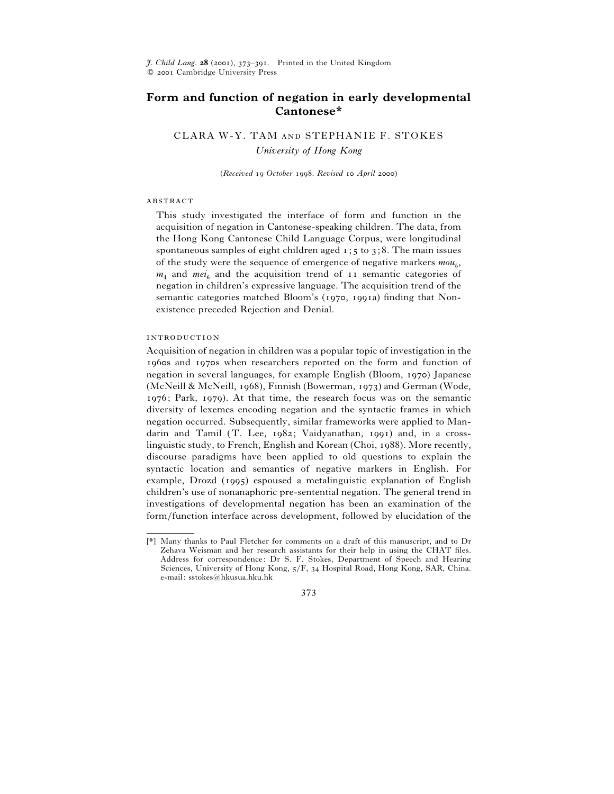$\tilde{J}$ . *Child Lang*. **28** (2001), 373-391. Printed in the United Kingdom C 2001 Cambridge University Press

# **Form and function of negation in early developmental Cantonese\***

CLARA W-Y. TAM AND STEPHANIE F. STOKES *University of Hong Kong*

(*Received October . Revised April* )

#### **ABSTRACT**

This study investigated the interface of form and function in the acquisition of negation in Cantonese-speaking children. The data, from the Hong Kong Cantonese Child Language Corpus, were longitudinal spontaneous samples of eight children aged  $x$ ;  $y$  to  $x$ ; 8. The main issues of the study were the sequence of emergence of negative markers  $mou_{5}$ ,  $m_4$  and  $mei_6$  and the acquisition trend of  $\overline{11}$  semantic categories of negation in children's expressive language. The acquisition trend of the semantic categories matched Bloom's (1970, 1991a) finding that Nonexistence preceded Rejection and Denial.

## **INTRODUCTION**

Acquisition of negation in children was a popular topic of investigation in the 1960s and 1970s when researchers reported on the form and function of negation in several languages, for example English (Bloom, 1970) Japanese (McNeill & McNeill, 1968), Finnish (Bowerman, 1973) and German (Wode,  $1976$ ; Park,  $1979$ ). At that time, the research focus was on the semantic diversity of lexemes encoding negation and the syntactic frames in which negation occurred. Subsequently, similar frameworks were applied to Mandarin and Tamil  $(T.$  Lee,  $1982$ ; Vaidyanathan,  $1991$  and, in a crosslinguistic study, to French, English and Korean (Choi, 1988). More recently, discourse paradigms have been applied to old questions to explain the syntactic location and semantics of negative markers in English. For example, Drozd (1995) espoused a metalinguistic explanation of English children's use of nonanaphoric pre-sentential negation. The general trend in investigations of developmental negation has been an examination of the form}function interface across development, followed by elucidation of the

<sup>[\*]</sup> Many thanks to Paul Fletcher for comments on a draft of this manuscript, and to Dr Zehava Weisman and her research assistants for their help in using the CHAT files. Address for correspondence: Dr S. F. Stokes, Department of Speech and Hearing Sciences, University of Hong Kong,  $5/F$ , 34 Hospital Road, Hong Kong, SAR, China. e-mail: sstokes@hkusua.hku.hk

<sup>373</sup>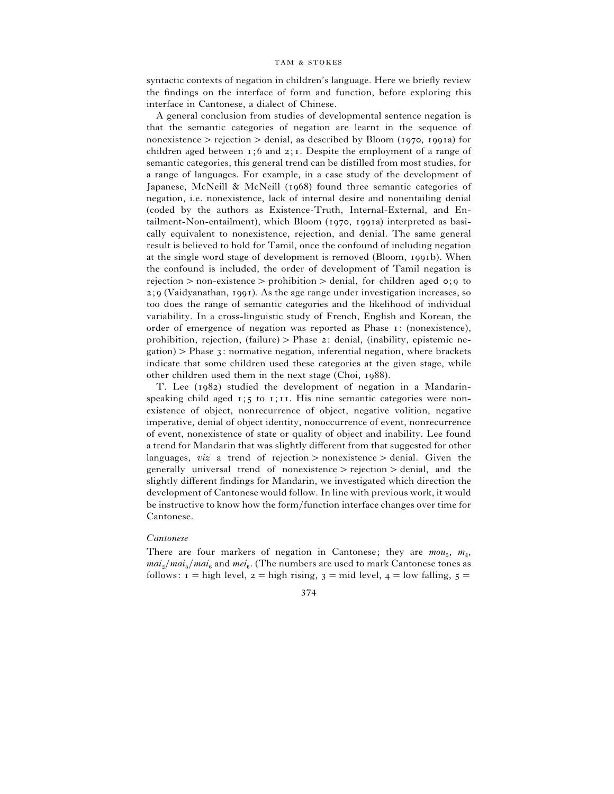syntactic contexts of negation in children's language. Here we briefly review the findings on the interface of form and function, before exploring this interface in Cantonese, a dialect of Chinese.

A general conclusion from studies of developmental sentence negation is that the semantic categories of negation are learnt in the sequence of nonexistence  $\geq$  rejection  $\geq$  denial, as described by Bloom (1970, 1991a) for children aged between  $i$ ; 6 and  $i$ ; I. Despite the employment of a range of semantic categories, this general trend can be distilled from most studies, for a range of languages. For example, in a case study of the development of Japanese, McNeill  $\&$  McNeill (1968) found three semantic categories of negation, i.e. nonexistence, lack of internal desire and nonentailing denial (coded by the authors as Existence-Truth, Internal-External, and En $tailment-Non-entailment$ , which Bloom  $(1970, 1991a)$  interpreted as basically equivalent to nonexistence, rejection, and denial. The same general result is believed to hold for Tamil, once the confound of including negation at the single word stage of development is removed (Bloom, 1991b). When the confound is included, the order of development of Tamil negation is rejection  $>$  non-existence  $>$  prohibition  $>$  denial, for children aged  $\circ$ ;  $\circ$  to  $2$ ;  $9$  (Vaidyanathan, 1991). As the age range under investigation increases, so too does the range of semantic categories and the likelihood of individual variability. In a cross-linguistic study of French, English and Korean, the order of emergence of negation was reported as Phase  $i$ : (nonexistence), prohibition, rejection, (failure)  $>$  Phase 2: denial, (inability, epistemic ne $gation$ ) > Phase 3: normative negation, inferential negation, where brackets indicate that some children used these categories at the given stage, while other children used them in the next stage (Choi,  $1988$ ).

T. Lee  $(1982)$  studied the development of negation in a Mandarinspeaking child aged  $x; 5$  to  $x; 11$ . His nine semantic categories were nonexistence of object, nonrecurrence of object, negative volition, negative imperative, denial of object identity, nonoccurrence of event, nonrecurrence of event, nonexistence of state or quality of object and inability. Lee found a trend for Mandarin that was slightly different from that suggested for other languages, *viz* a trend of rejection  $>$  nonexistence  $>$  denial. Given the generally universal trend of nonexistence  $>$  rejection  $>$  denial, and the slightly different findings for Mandarin, we investigated which direction the development of Cantonese would follow. In line with previous work, it would be instructive to know how the form}function interface changes over time for Cantonese.

### *Cantonese*

There are four markers of negation in Cantonese; they are  $m \omega_{5}$ ,  $m_{4}$ ,  $mai_{2}/mai_{5}/mai_{6}$  and  $mei_{6}$ . (The numbers are used to mark Cantonese tones as follows:  $i =$ high level,  $2 =$ high rising,  $3 =$ mid level,  $4 =$ low falling,  $5 =$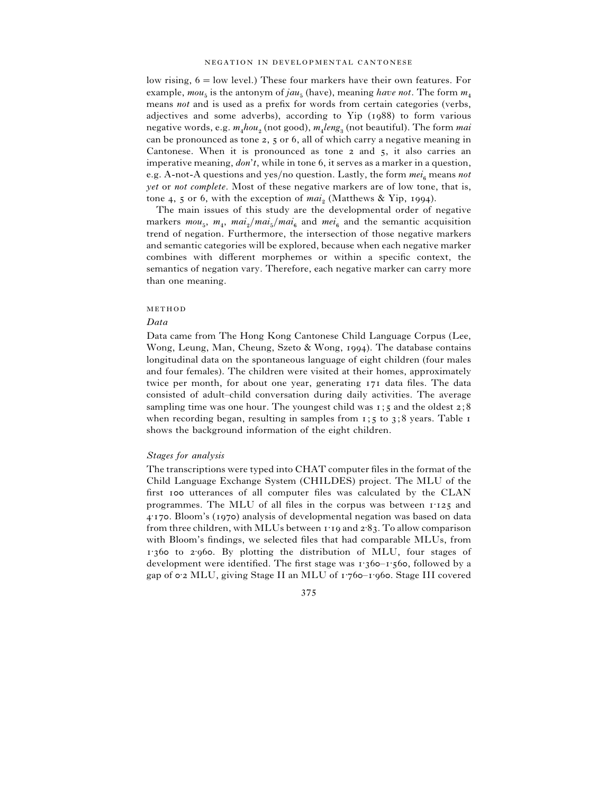low rising,  $6 =$  low level.) These four markers have their own features. For example,  $mou_5$  is the antonym of  $jau_5$  (have), meaning *have not*. The form  $m_4$  means *not* and is used as a prefix for words from certain categories (verbs, adjectives and some adverbs), according to  $Yip$  (1988) to form various negative words, e.g. *m*%*hou*# (not good), *<sup>m</sup>*% *leng*\$ (not beautiful). The form *mai* can be pronounced as tone 2, 5 or 6, all of which carry a negative meaning in Cantonese. When it is pronounced as tone  $2$  and  $5$ , it also carries an imperative meaning, *don't*, while in tone 6, it serves as a marker in a question, e.g. A-not-A questions and yes/no question. Lastly, the form  $mei_6$  means *not yet* or *not complete*. Most of these negative markers are of low tone, that is, tone 4, 5 or 6, with the exception of  $mai<sub>2</sub>$  (Matthews & Yip, 1994).

The main issues of this study are the developmental order of negative markers  $mou_5$ ,  $m_4$ ,  $mai_2/mai_5/mai_6$  and  $mei_6$  and the semantic acquisition trend of negation. Furthermore, the intersection of those negative markers and semantic categories will be explored, because when each negative marker combines with different morphemes or within a specific context, the semantics of negation vary. Therefore, each negative marker can carry more than one meaning.

#### METHOD

### *Data*

Data came from The Hong Kong Cantonese Child Language Corpus (Lee, Wong, Leung, Man, Cheung, Szeto & Wong, 1994). The database contains longitudinal data on the spontaneous language of eight children (four males and four females). The children were visited at their homes, approximately twice per month, for about one year, generating 171 data files. The data consisted of adult–child conversation during daily activities. The average sampling time was one hour. The youngest child was  $1$ ; 5 and the oldest  $2$ ; 8 when recording began, resulting in samples from  $1; 5$  to  $3; 8$  years. Table  $1$ shows the background information of the eight children.

### *Stages for analysis*

The transcriptions were typed into CHAT computer files in the format of the Child Language Exchange System (CHILDES) project. The MLU of the first 100 utterances of all computer files was calculated by the CLAN programmes. The MLU of all files in the corpus was between  $1.125$  and ±. Bloom's () analysis of developmental negation was based on data from three children, with MLUs between  $1.19$  and  $2.83$ . To allow comparison with Bloom's findings, we selected files that had comparable MLUs, from  $1.360$  to  $2.960$ . By plotting the distribution of MLU, four stages of development were identified. The first stage was  $1:360 - 1:560$ , followed by a gap of 0.2 MLU, giving Stage II an MLU of 1.760-1.960. Stage III covered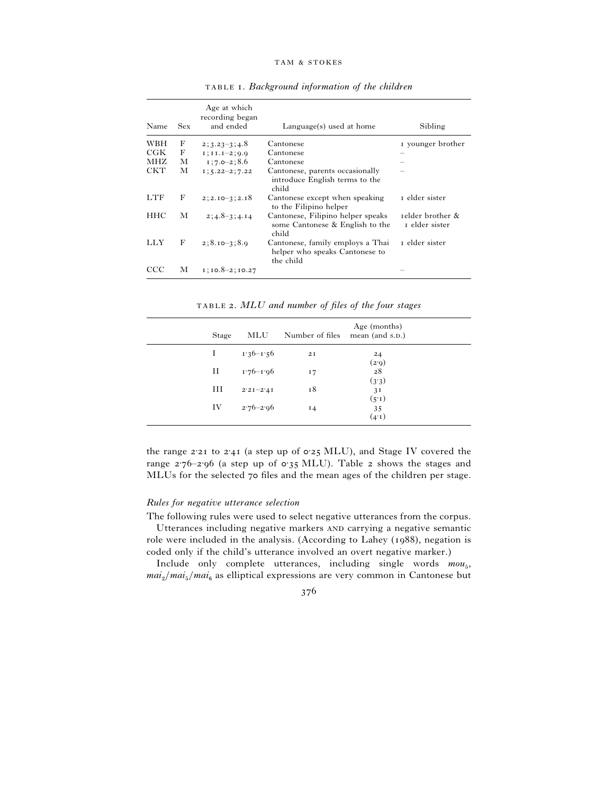| Name       | <b>Sex</b> | Age at which<br>recording began<br>and ended | Language(s) used at home                                                        | Sibling                            |
|------------|------------|----------------------------------------------|---------------------------------------------------------------------------------|------------------------------------|
| WBH        | F          | $2; 3.23 - 3; 4.8$                           | Cantonese                                                                       | I younger brother                  |
| C G K      | F          | $I$ ; $I$ $I$ . $I=2$ ; $0.0$                | Cantonese                                                                       |                                    |
| MHZ        | М          | $1:7.0-2:8.6$                                | Cantonese                                                                       |                                    |
| <b>CKT</b> | М          | $I$ ; 5.22-2; 7.22                           | Cantonese, parents occasionally<br>introduce English terms to the<br>child      |                                    |
| LTF        | F          | $2; 2.10 - 3; 2.18$                          | Cantonese except when speaking<br>to the Filipino helper                        | r elder sister                     |
| <b>HHC</b> | М          | $2:4.8-3:4.14$                               | Cantonese, Filipino helper speaks<br>some Cantonese & English to the<br>child   | relder brother &<br>I elder sister |
| LLY        | F          | $2; 8.10 - 3; 8.9$                           | Cantonese, family employs a Thai<br>helper who speaks Cantonese to<br>the child | r elder sister                     |
| CCC        | М          | $1$ ; $10.8 - 2$ ; $10.27$                   |                                                                                 |                                    |

. *Background information of the children*

. *MLU and number of files of the four stages*

| Stage | MLU           | Number of files | Age (months)<br>mean (and s.p.) |  |
|-------|---------------|-----------------|---------------------------------|--|
|       | $1.36 - 1.56$ | 2I              | 24<br>(2.9)                     |  |
| Н     | $1.76 - 1.06$ | 17              | 28<br>(3.3)                     |  |
| Ш     | $2'2I - 2'4I$ | 18              | 3 <sup>T</sup>                  |  |
| IV    | $2.76 - 2.96$ | 14              | (5.1)<br>35<br>(4.1)            |  |

the range  $2.21$  to  $2.41$  (a step up of  $0.25$  MLU), and Stage IV covered the range  $2.76-2.96$  (a step up of  $0.35$  MLU). Table 2 shows the stages and MLUs for the selected 70 files and the mean ages of the children per stage.

## *Rules for negative utterance selection*

The following rules were used to select negative utterances from the corpus.

Utterances including negative markers AND carrying a negative semantic role were included in the analysis. (According to Lahey (1988), negation is coded only if the child's utterance involved an overt negative marker.)

Include only complete utterances, including single words  $m \omega_{5}$ ,  $mai_{2}/mai_{5}/mai_{6}$  as elliptical expressions are very common in Cantonese but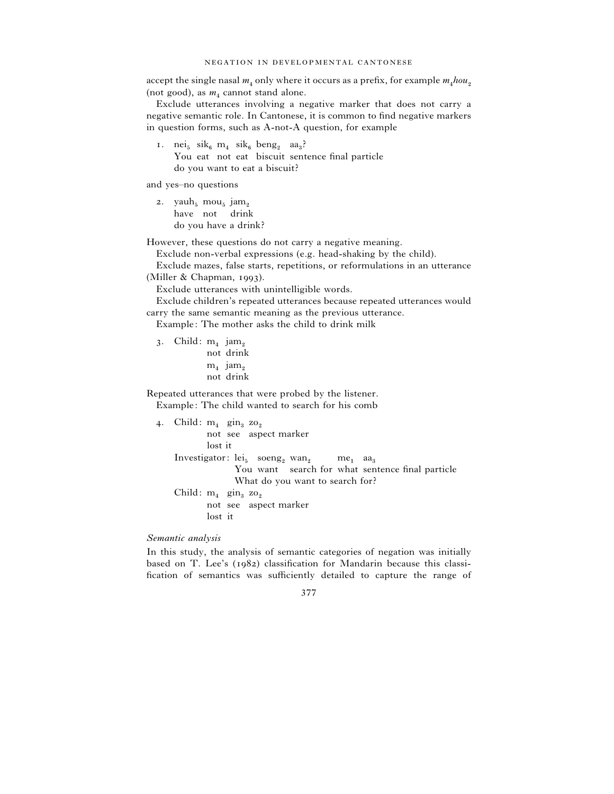accept the single nasal  $m_4$  only where it occurs as a prefix, for example  $m_4 h \omega_2$ (not good), as  $m_4$  cannot stand alone.

Exclude utterances involving a negative marker that does not carry a negative semantic role. In Cantonese, it is common to find negative markers in question forms, such as A-not-A question, for example

1. nei<sub>5</sub> sik<sub>6</sub> m<sub>4</sub> sik<sub>6</sub> beng<sub>2</sub> aa<sub>3</sub>? You eat not eat biscuit sentence final particle do you want to eat a biscuit?

and yes–no questions

2. yauh<sub>5</sub> mou<sub>5</sub> jam<sub>2</sub><br>have not drink do you have a drink?

However, these questions do not carry a negative meaning.

Exclude non-verbal expressions (e.g. head-shaking by the child).

Exclude mazes, false starts, repetitions, or reformulations in an utterance (Miller  $& Chapman, 1993$ ).

Exclude utterances with unintelligible words.

Exclude children's repeated utterances because repeated utterances would carry the same semantic meaning as the previous utterance.

Example: The mother asks the child to drink milk

3. Child:  $m_4$  jam<sub>2</sub><br>not drink  $m_4$  ja $m_2$ <br>not drink

Repeated utterances that were probed by the listener.

Example: The child wanted to search for his comb

| 4. Child: $m_4$ gin, zo,                                                                  |
|-------------------------------------------------------------------------------------------|
| not see aspect marker                                                                     |
| lost it                                                                                   |
| Investigator: $lei_5$ soeng <sub>2</sub> wan <sub>2</sub> me <sub>1</sub> aa <sub>3</sub> |
| You want search for what sentence final particle                                          |
| What do you want to search for?                                                           |
| Child: $m_1$ gin, zo,                                                                     |
| not see aspect marker                                                                     |
| lost it                                                                                   |
|                                                                                           |

*Semantic analysis*

In this study, the analysis of semantic categories of negation was initially based on T. Lee's  $(1982)$  classification for Mandarin because this classification of semantics was sufficiently detailed to capture the range of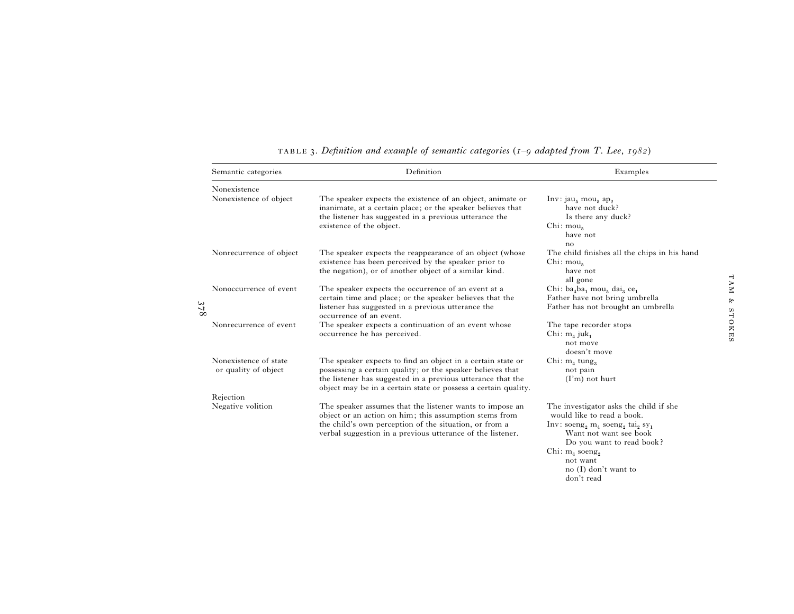| Semantic categories                                 | Definition                                                                                                                                                                                                                                                 | Examples                                                                                                                                                                                                                                       |  |  |  |
|-----------------------------------------------------|------------------------------------------------------------------------------------------------------------------------------------------------------------------------------------------------------------------------------------------------------------|------------------------------------------------------------------------------------------------------------------------------------------------------------------------------------------------------------------------------------------------|--|--|--|
| Nonexistence                                        |                                                                                                                                                                                                                                                            |                                                                                                                                                                                                                                                |  |  |  |
| Nonexistence of object                              | The speaker expects the existence of an object, animate or<br>inanimate, at a certain place; or the speaker believes that<br>the listener has suggested in a previous utterance the<br>existence of the object.                                            | $Inv: jau5 mou5 ap2$<br>have not duck?<br>Is there any duck?<br>Chi: mou <sub>5</sub><br>have not<br>no                                                                                                                                        |  |  |  |
| Nonrecurrence of object                             | The speaker expects the reappearance of an object (whose<br>existence has been perceived by the speaker prior to<br>the negation), or of another object of a similar kind.                                                                                 | The child finishes all the chips in his hand<br>Chi: mou <sub>5</sub><br>have not<br>all gone                                                                                                                                                  |  |  |  |
| Nonoccurrence of event<br>ω<br>$\Delta$<br>$\infty$ | The speaker expects the occurrence of an event at a<br>certain time and place; or the speaker believes that the<br>listener has suggested in a previous utterance the<br>occurrence of an event.                                                           | Chi: $ba_4ba_1$ mou <sub>5</sub> dai <sub>3</sub> ce <sub>1</sub><br>Father have not bring umbrella<br>Father has not brought an umbrella                                                                                                      |  |  |  |
| Nonrecurrence of event                              | The speaker expects a continuation of an event whose<br>occurrence he has perceived.                                                                                                                                                                       | The tape recorder stops<br>Chi: $m_4$ juk <sub>1</sub><br>not move<br>doesn't move                                                                                                                                                             |  |  |  |
| Nonexistence of state<br>or quality of object       | The speaker expects to find an object in a certain state or<br>possessing a certain quality; or the speaker believes that<br>the listener has suggested in a previous utterance that the<br>object may be in a certain state or possess a certain quality. | Chi: $m_4$ tung <sub>3</sub><br>not pain<br>$(I'm)$ not hurt                                                                                                                                                                                   |  |  |  |
| Rejection                                           |                                                                                                                                                                                                                                                            |                                                                                                                                                                                                                                                |  |  |  |
| Negative volition                                   | The speaker assumes that the listener wants to impose an<br>object or an action on him; this assumption stems from<br>the child's own perception of the situation, or from a<br>verbal suggestion in a previous utterance of the listener.                 | The investigator asks the child if she<br>would like to read a book.<br>Inv: soeng <sub>2</sub> m <sub>4</sub> soeng <sub>2</sub> tai <sub>2</sub> sy <sub>1</sub><br>Want not want see book<br>Do you want to read book?<br>Chi: $m_4$ soeng, |  |  |  |
|                                                     |                                                                                                                                                                                                                                                            | not want<br>no $(I)$ don't want to<br>don't read                                                                                                                                                                                               |  |  |  |

. *Definition and example of semantic categories* (*– adapted from T. Lee*, )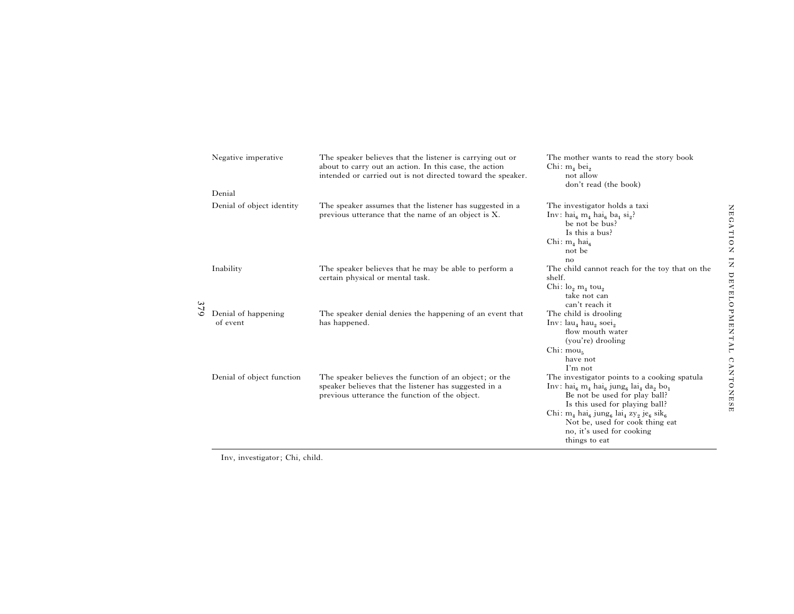|     | Negative imperative             | The speaker believes that the listener is carrying out or<br>about to carry out an action. In this case, the action<br>intended or carried out is not directed toward the speaker. | The mother wants to read the story book<br>Chi: $m_4$ bei <sub>2</sub><br>not allow<br>don't read (the book)                                                                                                                                                                                                                                                                                                               |  |  |
|-----|---------------------------------|------------------------------------------------------------------------------------------------------------------------------------------------------------------------------------|----------------------------------------------------------------------------------------------------------------------------------------------------------------------------------------------------------------------------------------------------------------------------------------------------------------------------------------------------------------------------------------------------------------------------|--|--|
|     | Denial                          |                                                                                                                                                                                    |                                                                                                                                                                                                                                                                                                                                                                                                                            |  |  |
|     | Denial of object identity       | The speaker assumes that the listener has suggested in a<br>previous utterance that the name of an object is X.                                                                    | The investigator holds a taxi<br>Inv: hai <sub>6</sub> m <sub>4</sub> hai <sub>6</sub> ba <sub>1</sub> si <sub>2</sub> ?<br>be not be bus?<br>Is this a bus?<br>Chi: $m_4$ hai <sub>6</sub><br>not be<br>no                                                                                                                                                                                                                |  |  |
|     | Inability                       | The speaker believes that he may be able to perform a<br>certain physical or mental task.                                                                                          | The child cannot reach for the toy that on the<br>shelf.<br>Chi: $\log m_1$ tou <sub>2</sub><br>take not can<br>can't reach it                                                                                                                                                                                                                                                                                             |  |  |
| 379 | Denial of happening<br>of event | The speaker denial denies the happening of an event that<br>has happened.                                                                                                          | The child is drooling<br>Inv: $lau_4$ hau, soei,<br>flow mouth water<br>(you're) drooling<br>Chi: $mou5$<br>have not<br>$\Gamma$ m not                                                                                                                                                                                                                                                                                     |  |  |
|     | Denial of object function       | The speaker believes the function of an object; or the<br>speaker believes that the listener has suggested in a<br>previous utterance the function of the object.                  | The investigator points to a cooking spatula<br>$Inv: \text{hai}_6 \text{ m}_4 \text{ hai}_6 \text{ jung}_6 \text{ la}_4 \text{ da}_2 \text{ bo}_1$<br>Be not be used for play ball?<br>Is this used for playing ball?<br>Chi: $m_4$ hai <sub>6</sub> jung <sub>6</sub> lai <sub>4</sub> zy <sub>2</sub> je <sub>6</sub> sik <sub>6</sub><br>Not be, used for cook thing eat<br>no, it's used for cooking<br>things to eat |  |  |

Inv, investigator; Chi, child.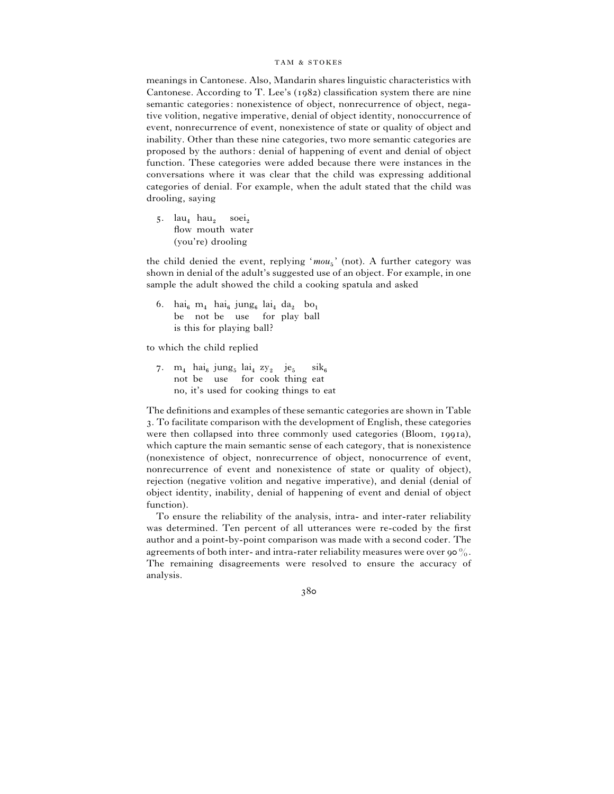meanings in Cantonese. Also, Mandarin shares linguistic characteristics with Cantonese. According to T. Lee's  $(1982)$  classification system there are nine semantic categories: nonexistence of object, nonrecurrence of object, negative volition, negative imperative, denial of object identity, nonoccurrence of event, nonrecurrence of event, nonexistence of state or quality of object and inability. Other than these nine categories, two more semantic categories are proposed by the authors: denial of happening of event and denial of object function. These categories were added because there were instances in the conversations where it was clear that the child was expressing additional categories of denial. For example, when the adult stated that the child was drooling, saying

 $5.$  lau<sub>4</sub> hau<sub>2</sub>  $lau_4$  hau<sub>2</sub> soei<sub>2</sub><br>flow mouth water (you're) drooling

the child denied the event, replying 'mou<sub>5</sub>' (not). A further category was shown in denial of the adult's suggested use of an object. For example, in one sample the adult showed the child a cooking spatula and asked

6. hai<sub>6</sub> m<sub>4</sub> hai<sub>6</sub> jung<sub>6</sub> lai<sub>4</sub> da<sub>2</sub> bo<sub>1</sub> be not be use for play ball is this for playing ball?

to which the child replied

7.  $m_4$  hai<sub>6</sub> jung<sub>5</sub> lai<sub>4</sub> zy<sub>2</sub> je<sub>5</sub> sik<sub>6</sub> not be use for cook thing eat no, it's used for cooking things to eat

The definitions and examples of these semantic categories are shown in Table . To facilitate comparison with the development of English, these categories were then collapsed into three commonly used categories (Bloom, 1991a), which capture the main semantic sense of each category, that is nonexistence (nonexistence of object, nonrecurrence of object, nonocurrence of event, nonrecurrence of event and nonexistence of state or quality of object), rejection (negative volition and negative imperative), and denial (denial of object identity, inability, denial of happening of event and denial of object function).

To ensure the reliability of the analysis, intra- and inter-rater reliability was determined. Ten percent of all utterances were re-coded by the first author and a point-by-point comparison was made with a second coder. The agreements of both inter- and intra-rater reliability measures were over 90 $\%$ . The remaining disagreements were resolved to ensure the accuracy of analysis.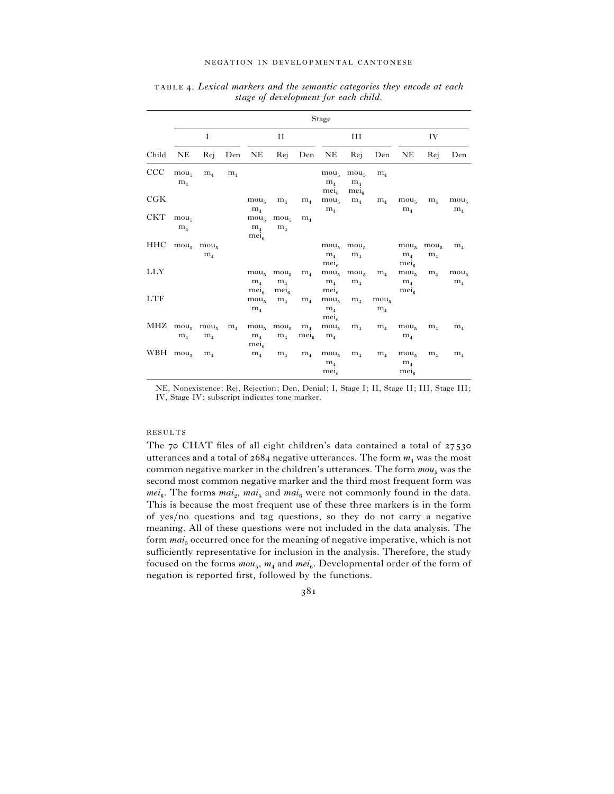|            | Stage                                                            |                                  |                |                                                        |                                                        |                             |                                                        |                                                        |                                    |                                                        |                                    |                                    |
|------------|------------------------------------------------------------------|----------------------------------|----------------|--------------------------------------------------------|--------------------------------------------------------|-----------------------------|--------------------------------------------------------|--------------------------------------------------------|------------------------------------|--------------------------------------------------------|------------------------------------|------------------------------------|
|            |                                                                  | I                                |                | П                                                      |                                                        |                             |                                                        | Ш                                                      |                                    | IV                                                     |                                    |                                    |
| Child      | NE                                                               | Rej                              |                | Den NE                                                 |                                                        | Rej Den NE                  |                                                        | Rej                                                    | Den                                | NE                                                     | Rej                                | Den                                |
| CCC        | mou <sub>5</sub><br>m <sub>4</sub>                               | m <sub>4</sub>                   | m <sub>4</sub> |                                                        |                                                        |                             | mou <sub>5</sub><br>m <sub>4</sub><br>mei <sub>6</sub> | mou <sub>5</sub><br>m <sub>4</sub><br>mei <sub>6</sub> | m <sub>4</sub>                     |                                                        |                                    |                                    |
| C G K      |                                                                  |                                  |                | mou <sub>5</sub><br>m <sub>4</sub>                     | m <sub>4</sub>                                         | $m_4$                       | mou <sub>5</sub><br>m <sub>4</sub>                     | m <sub>4</sub>                                         | m <sub>4</sub>                     | mou <sub>5</sub><br>m <sub>4</sub>                     | m <sub>4</sub>                     | mou <sub>5</sub><br>$m_4$          |
| <b>CKT</b> | mou <sub>5</sub><br>m <sub>4</sub>                               |                                  |                | mou <sub>5</sub><br>m <sub>4</sub><br>mei <sub>6</sub> | mou <sub>5</sub><br>m <sub>4</sub>                     | m <sub>4</sub>              |                                                        |                                                        |                                    |                                                        |                                    |                                    |
| HHC        |                                                                  | $mou5$ mou <sub>5</sub><br>$m_4$ |                |                                                        |                                                        |                             | m <sub>4</sub><br>mei <sub>6</sub>                     | $mou5$ $mou5$<br>m <sub>4</sub>                        |                                    | mou <sub>5</sub><br>m <sub>4</sub><br>mei <sub>6</sub> | mou <sub>5</sub><br>m <sub>4</sub> | m <sub>4</sub>                     |
| LLY        |                                                                  |                                  |                | mou <sub>5</sub><br>m <sub>4</sub><br>$me_{16}$        | mou <sub>5</sub><br>m <sub>4</sub><br>mei <sub>6</sub> | $m_4$                       | mou <sub>5</sub><br>m <sub>4</sub><br>$me_{16}$        | mou <sub>5</sub><br>m <sub>4</sub>                     | m <sub>4</sub>                     | mou <sub>5</sub><br>m <sub>4</sub><br>$me_{16}$        | m <sub>4</sub>                     | mou <sub>5</sub><br>m <sub>4</sub> |
| <b>LTF</b> |                                                                  |                                  |                | mou <sub>5</sub><br>m <sub>4</sub>                     | m <sub>4</sub>                                         | m <sub>4</sub>              | mou <sub>5</sub><br>m <sub>4</sub><br>$me_{16}$        | $m_4$                                                  | mou <sub>5</sub><br>m <sub>4</sub> |                                                        |                                    |                                    |
|            | $\text{MHz}$ mou <sub>5</sub> mou <sub>5</sub><br>m <sub>4</sub> | m <sub>4</sub>                   | $m_4$          | mou <sub>5</sub><br>m <sub>4</sub><br>mei <sub>6</sub> | mou <sub>5</sub><br>m <sub>4</sub>                     | m <sub>4</sub><br>$me_{16}$ | mou <sub>5</sub><br>m <sub>4</sub>                     | m <sub>4</sub>                                         | m <sub>4</sub>                     | mou <sub>5</sub><br>m <sub>4</sub>                     | m <sub>4</sub>                     | m <sub>4</sub>                     |
| WBH $mou5$ |                                                                  | m <sub>4</sub>                   |                | $m_4$                                                  | m <sub>4</sub>                                         | m <sub>4</sub>              | mou <sub>5</sub><br>m <sub>4</sub><br>mei <sub>6</sub> | m <sub>4</sub>                                         | m <sub>4</sub>                     | mou <sub>5</sub><br>m <sub>4</sub><br>mei <sub>6</sub> | m <sub>4</sub>                     | m <sub>4</sub>                     |

 . *Lexical markers and the semantic categories they encode at each stage of development for each child*.

NE, Nonexistence; Rej, Rejection; Den, Denial; I, Stage I; II, Stage II; III, Stage III; IV, Stage IV; subscript indicates tone marker.

#### **RESULTS**

The 70 CHAT files of all eight children's data contained a total of 27530 utterances and a total of  $2684$  negative utterances. The form  $m_4$  was the most common negative marker in the children's utterances. The form  $mou_{5}$  was the second most common negative marker and the third most frequent form was  $mei_6$ . The forms  $mai_2$ ,  $mai_5$  and  $mai_6$  were not commonly found in the data. This is because the most frequent use of these three markers is in the form of yes}no questions and tag questions, so they do not carry a negative meaning. All of these questions were not included in the data analysis. The form  $mai<sub>5</sub>$  occurred once for the meaning of negative imperative, which is not sufficiently representative for inclusion in the analysis. Therefore, the study focused on the forms  $mou_5$ ,  $m_4$  and  $mei_6$ . Developmental order of the form of negation is reported first, followed by the functions.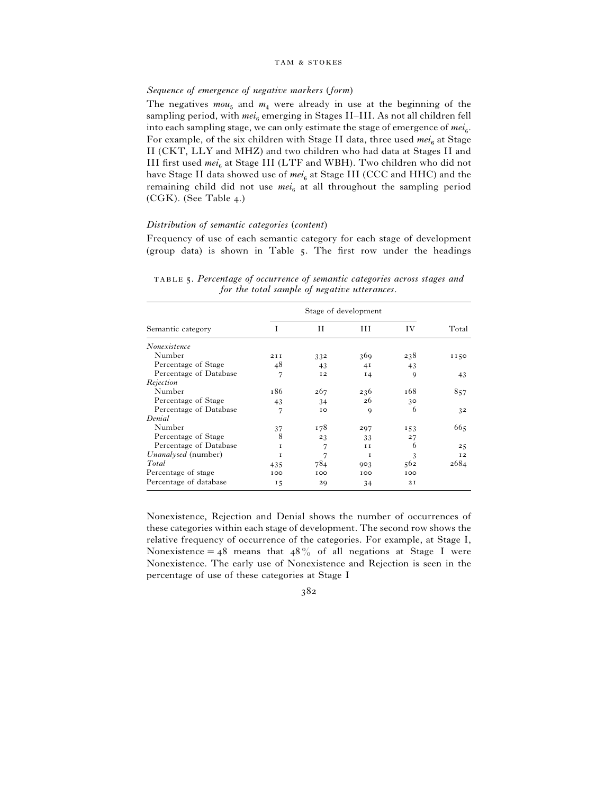## *Sequence of emergence of negative markers* (*form*)

The negatives  $mou_{5}$  and  $m_{4}$  were already in use at the beginning of the sampling period, with  $mei_6$  emerging in Stages II–III. As not all children fell into each sampling stage, we can only estimate the stage of emergence of mei<sub>6</sub>. For example, of the six children with Stage II data, three used *mei*<sub>6</sub> at Stage II (CKT, LLY and MHZ) and two children who had data at Stages II and III first used  $mei_6$  at Stage III (LTF and WBH). Two children who did not have Stage II data showed use of  $mei_6$  at Stage III (CCC and HHC) and the remaining child did not use  $mei_6$  at all throughout the sampling period  $(CGK)$ . (See Table 4.)

## *Distribution of semantic categories* (*content*)

Frequency of use of each semantic category for each stage of development (group data) is shown in Table  $5$ . The first row under the headings

| Semantic category          | I               | и   | Ш              | IV  | Total |
|----------------------------|-----------------|-----|----------------|-----|-------|
| Nonexistence               |                 |     |                |     |       |
| Number                     | 2I <sub>I</sub> | 332 | 369            | 238 | II50  |
| Percentage of Stage        | 48              | 43  | 4 <sub>I</sub> | 43  |       |
| Percentage of Database     | 7               | 12  | 14             | 9   | 43    |
| Rejection                  |                 |     |                |     |       |
| Number                     | 186             | 267 | 236            | 168 | 857   |
| Percentage of Stage        | 43              | 34  | 26             | 30  |       |
| Percentage of Database     | 7               | IO. | $\mathbf Q$    | 6   | 32    |
| Denial                     |                 |     |                |     |       |
| Number                     | 37              | 178 | 297            | 153 | 665   |
| Percentage of Stage        | 8               | 23  | 33             | 27  |       |
| Percentage of Database     | T               | 7   | I I            | 6   | 25    |
| <i>Unanalysed</i> (number) | T               | 7   | т              | 3   | 12    |
| Total                      | 435             | 784 | 903            | 562 | 2684  |
| Percentage of stage        | 100             | 100 | 100            | 100 |       |
| Percentage of database     | 15              | 29  | 34             | 2I  |       |

 . *Percentage of occurrence of semantic categories across stages and for the total sample of negative utterances*.

Nonexistence, Rejection and Denial shows the number of occurrences of these categories within each stage of development. The second row shows the relative frequency of occurrence of the categories. For example, at Stage I, Nonexistence = 48 means that  $48\%$  of all negations at Stage I were Nonexistence. The early use of Nonexistence and Rejection is seen in the percentage of use of these categories at Stage I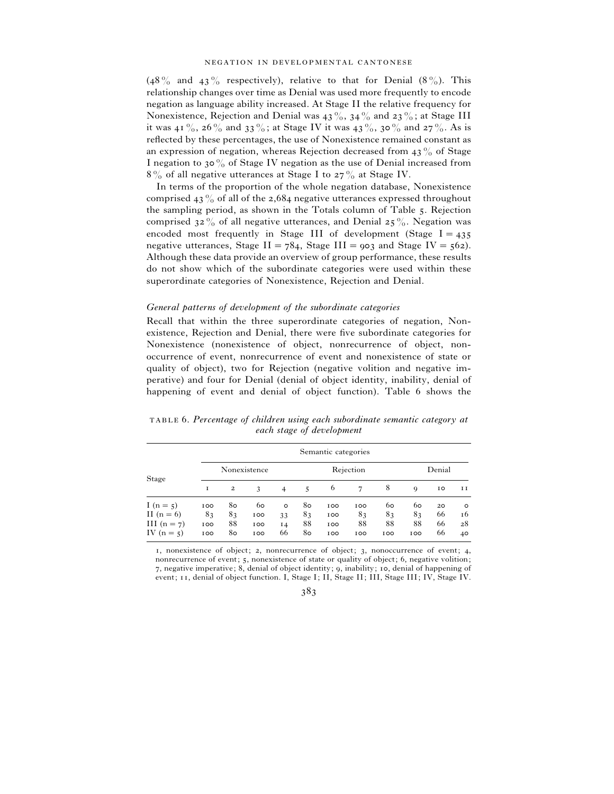(48% and 43% respectively), relative to that for Denial  $(8\%)$ . This relationship changes over time as Denial was used more frequently to encode negation as language ability increased. At Stage II the relative frequency for Nonexistence, Rejection and Denial was  $43\%$ ,  $34\%$  and  $23\%$ ; at Stage III it was 41%, 26% and 33%; at Stage IV it was 43%, 30% and 27%. As is reflected by these percentages, the use of Nonexistence remained constant as an expression of negation, whereas Rejection decreased from  $43\%$  of Stage I negation to 30% of Stage IV negation as the use of Denial increased from  $8\%$  of all negative utterances at Stage I to  $27\%$  at Stage IV.

In terms of the proportion of the whole negation database, Nonexistence comprised 43% of all of the 2,684 negative utterances expressed throughout the sampling period, as shown in the Totals column of Table 5. Rejection comprised  $32\%$  of all negative utterances, and Denial  $25\%$ . Negation was encoded most frequently in Stage III of development (Stage  $I = 435$ negative utterances, Stage II =  $784$ , Stage III =  $903$  and Stage IV =  $562$ ). Although these data provide an overview of group performance, these results do not show which of the subordinate categories were used within these superordinate categories of Nonexistence, Rejection and Denial.

## *General patterns of development of the subordinate categories*

Recall that within the three superordinate categories of negation, Nonexistence, Rejection and Denial, there were five subordinate categories for Nonexistence (nonexistence of object, nonrecurrence of object, nonoccurrence of event, nonrecurrence of event and nonexistence of state or quality of object), two for Rejection (negative volition and negative imperative) and four for Denial (denial of object identity, inability, denial of happening of event and denial of object function). Table 6 shows the

|               |              | Semantic categories     |     |                |    |     |     |        |             |    |         |
|---------------|--------------|-------------------------|-----|----------------|----|-----|-----|--------|-------------|----|---------|
|               | Nonexistence |                         |     | Rejection      |    |     |     | Denial |             |    |         |
| Stage         | 1            | $\overline{\mathbf{c}}$ | 3   | $\overline{4}$ | 5  | 6   | 7   | 8      | $\mathbf Q$ | 10 | ΙΙ      |
| I $(n = 5)$   | 100          | 80                      | 60  | $\circ$        | 80 | 100 | 100 | 60     | 60          | 20 | $\circ$ |
| II $(n=6)$    | 83           | 83                      | 100 | 33             | 83 | 100 | 83  | 83     | 83          | 66 | 16      |
| III $(n = 7)$ | 100          | 88                      | 100 | $I_4$          | 88 | 100 | 88  | 88     | 88          | 66 | 28      |
| IV $(n = 5)$  | 100          | 80                      | 100 | 66             | 80 | 100 | 100 | 100    | 100         | 66 | 40      |

 . *Percentage of children using each subordinate semantic category at each stage of development*

1, nonexistence of object; 2, nonrecurrence of object; 3, nonoccurrence of event; 4, nonrecurrence of event; 5, nonexistence of state or quality of object; 6, negative volition; 7, negative imperative; 8, denial of object identity; 9, inability; 10, denial of happening of event; 11, denial of object function. I, Stage I; II, Stage II; III, Stage III; IV, Stage IV.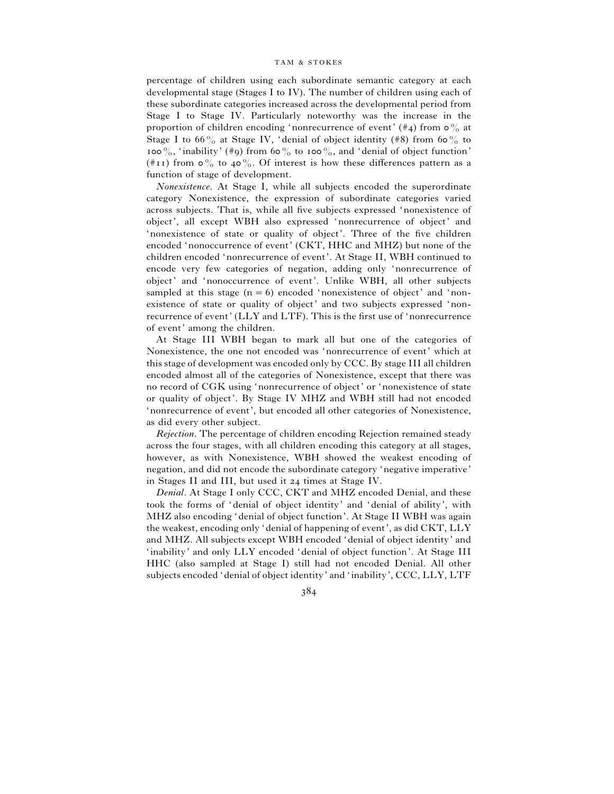percentage of children using each subordinate semantic category at each developmental stage (Stages I to IV). The number of children using each of these subordinate categories increased across the developmental period from Stage I to Stage IV. Particularly noteworthy was the increase in the proportion of children encoding 'nonrecurrence of event'  $(\#_4)$  from  $\circ \frac{0}{0}$  at Stage I to 66% at Stage IV, 'denial of object identity (#8) from 60% to 100%, 'inability' (#9) from 60% to 100%, and 'denial of object function' (#11) from  $\circ$ % to 40%. Of interest is how these differences pattern as a function of stage of development.

*Nonexistence*. At Stage I, while all subjects encoded the superordinate category Nonexistence, the expression of subordinate categories varied across subjects. That is, while all five subjects expressed 'nonexistence of object', all except WBH also expressed 'nonrecurrence of object' and 'nonexistence of state or quality of object'. Three of the five children encoded 'nonoccurrence of event' (CKT, HHC and MHZ) but none of the children encoded 'nonrecurrence of event'. At Stage II, WBH continued to encode very few categories of negation, adding only 'nonrecurrence of object' and 'nonoccurrence of event'. Unlike WBH, all other subjects sampled at this stage  $(n=6)$  encoded 'nonexistence of object' and 'nonexistence of state or quality of object' and two subjects expressed 'nonrecurrence of event' (LLY and LTF). This is the first use of 'nonrecurrence of event' among the children.

At Stage III WBH began to mark all but one of the categories of Nonexistence, the one not encoded was 'nonrecurrence of event' which at this stage of development was encoded only by CCC. By stage III all children encoded almost all of the categories of Nonexistence, except that there was no record of CGK using 'nonrecurrence of object' or 'nonexistence of state or quality of object'. By Stage IV MHZ and WBH still had not encoded 'nonrecurrence of event', but encoded all other categories of Nonexistence, as did every other subject.

*Rejection*. The percentage of children encoding Rejection remained steady across the four stages, with all children encoding this category at all stages, however, as with Nonexistence, WBH showed the weakest encoding of negation, and did not encode the subordinate category 'negative imperative' in Stages II and III, but used it 24 times at Stage IV.

*Denial*. At Stage I only CCC, CKT and MHZ encoded Denial, and these took the forms of 'denial of object identity' and 'denial of ability', with MHZ also encoding 'denial of object function'. At Stage II WBH was again the weakest, encoding only 'denial of happening of event', as did CKT, LLY and MHZ. All subjects except WBH encoded 'denial of object identity' and 'inability' and only LLY encoded 'denial of object function'. At Stage III HHC (also sampled at Stage I) still had not encoded Denial. All other subjects encoded 'denial of object identity' and 'inability', CCC, LLY, LTF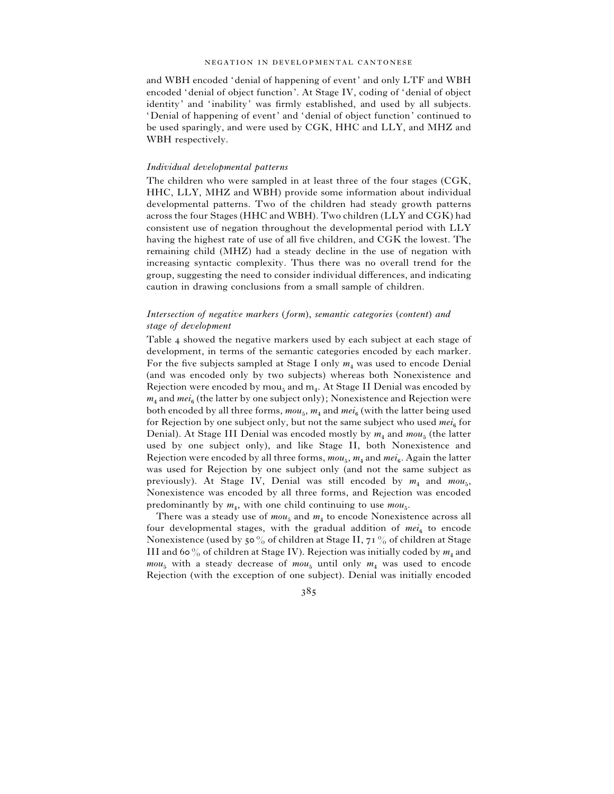and WBH encoded 'denial of happening of event' and only LTF and WBH encoded 'denial of object function'. At Stage IV, coding of 'denial of object identity' and 'inability' was firmly established, and used by all subjects. 'Denial of happening of event' and 'denial of object function' continued to be used sparingly, and were used by CGK, HHC and LLY, and MHZ and WBH respectively.

## *Individual developmental patterns*

The children who were sampled in at least three of the four stages (CGK, HHC, LLY, MHZ and WBH) provide some information about individual developmental patterns. Two of the children had steady growth patterns across the four Stages (HHC and WBH). Two children (LLY and CGK) had consistent use of negation throughout the developmental period with LLY having the highest rate of use of all five children, and CGK the lowest. The remaining child (MHZ) had a steady decline in the use of negation with increasing syntactic complexity. Thus there was no overall trend for the group, suggesting the need to consider individual differences, and indicating caution in drawing conclusions from a small sample of children.

## *Intersection of negative markers* (*form*), *semantic categories* (*content*) *and stage of development*

Table 4 showed the negative markers used by each subject at each stage of development, in terms of the semantic categories encoded by each marker. For the five subjects sampled at Stage I only  $m_4$  was used to encode Denial (and was encoded only by two subjects) whereas both Nonexistence and Rejection were encoded by  $mou_{5}$  and  $m_{4}$ . At Stage II Denial was encoded by  $m_{4}$  and  $m e i_{6}$  (the latter by one subject only); Nonexistence and Rejection were both encoded by all three forms,  $mou_{5}$ ,  $m_{4}$  and  $mei_{6}$  (with the latter being used for Rejection by one subject only, but not the same subject who used *mei*<sub>6</sub> for Denial). At Stage III Denial was encoded mostly by  $m_4$  and  $mou_5$  (the latter used by one subject only), and like Stage II, both Nonexistence and Rejection were encoded by all three forms,  $mou_5$ ,  $m_4$  and  $mei_6$ . Again the latter was used for Rejection by one subject only (and not the same subject as previously). At Stage IV, Denial was still encoded by  $m_4$  and  $m_0u_5$ , Nonexistence was encoded by all three forms, and Rejection was encoded predominantly by  $m_4$ , with one child continuing to use  $m \omega_{5}$ .

There was a steady use of  $mou_5$  and  $m_4$  to encode Nonexistence across all four developmental stages, with the gradual addition of  $mei_6$  to encode Nonexistence (used by 50% of children at Stage II, 71% of children at Stage III and 60  $\%$  of children at Stage IV). Rejection was initially coded by  $m_4$  and  $mou<sub>5</sub>$  with a steady decrease of  $mou<sub>5</sub>$  until only  $m<sub>4</sub>$  was used to encode Rejection (with the exception of one subject). Denial was initially encoded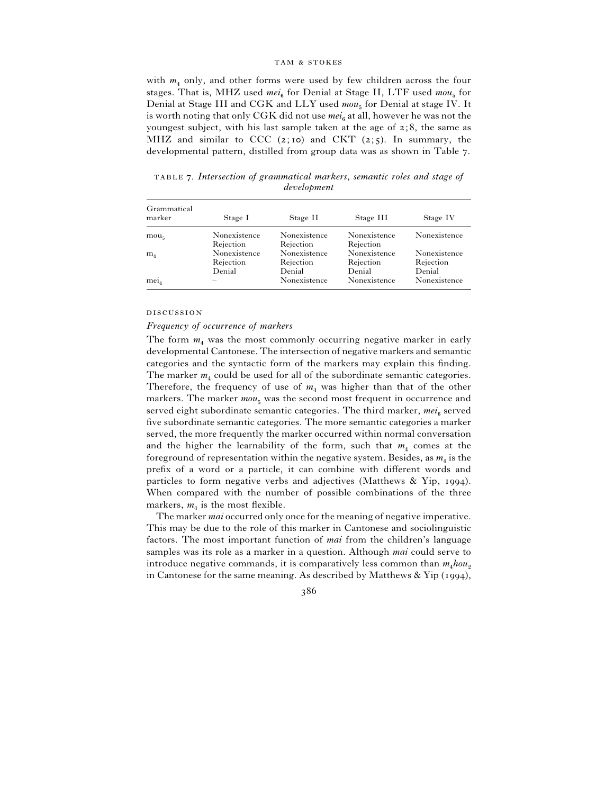with  $m_4$  only, and other forms were used by few children across the four stages. That is, MHZ used  $mei_6$  for Denial at Stage II, LTF used  $mou_5$  for Denial at Stage III and CGK and LLY used  $mou_{5}$  for Denial at stage IV. It is worth noting that only CGK did not use  $mei_6$  at all, however he was not the youngest subject, with his last sample taken at the age of  $z$ ; 8, the same as MHZ and similar to CCC (2;10) and CKT (2;5). In summary, the developmental pattern, distilled from group data was as shown in Table 7.

 . *Intersection of grammatical markers*, *semantic roles and stage of development*

| Grammatical<br>marker | Stage I                   | Stage II                  | Stage III                 | Stage IV     |
|-----------------------|---------------------------|---------------------------|---------------------------|--------------|
| mou <sub>5</sub>      | Nonexistence<br>Rejection | Nonexistence<br>Rejection | Nonexistence<br>Rejection | Nonexistence |
|                       |                           |                           |                           |              |
| m <sub>4</sub>        | Nonexistence              | Nonexistence              | Nonexistence              | Nonexistence |
|                       | Rejection                 | Rejection                 | Rejection                 | Rejection    |
|                       | Denial                    | Denial                    | Denial                    | Denial       |
| $me_{14}$             |                           | Nonexistence              | Nonexistence              | Nonexistence |

### **DISCUSSION**

## *Frequency of occurrence of markers*

The form  $m_4$  was the most commonly occurring negative marker in early developmental Cantonese. The intersection of negative markers and semantic categories and the syntactic form of the markers may explain this finding. The marker  $m_4$  could be used for all of the subordinate semantic categories. Therefore, the frequency of use of  $m<sub>4</sub>$  was higher than that of the other markers. The marker  $mou_5$  was the second most frequent in occurrence and served eight subordinate semantic categories. The third marker, *mei*<sub>6</sub> served five subordinate semantic categories. The more semantic categories a marker served, the more frequently the marker occurred within normal conversation and the higher the learnability of the form, such that  $m_4$  comes at the foreground of representation within the negative system. Besides, as  $m_4$  is the prefix of a word or a particle, it can combine with different words and particles to form negative verbs and adjectives (Matthews  $\&$  Yip, 1994). When compared with the number of possible combinations of the three markers,  $m_4$  is the most flexible.

The marker *mai* occurred only once for the meaning of negative imperative. This may be due to the role of this marker in Cantonese and sociolinguistic factors. The most important function of *mai* from the children's language samples was its role as a marker in a question. Although *mai* could serve to introduce negative commands, it is comparatively less common than  $m_4 h \omega_2$ in Cantonese for the same meaning. As described by Matthews  $\&$  Yip (1994),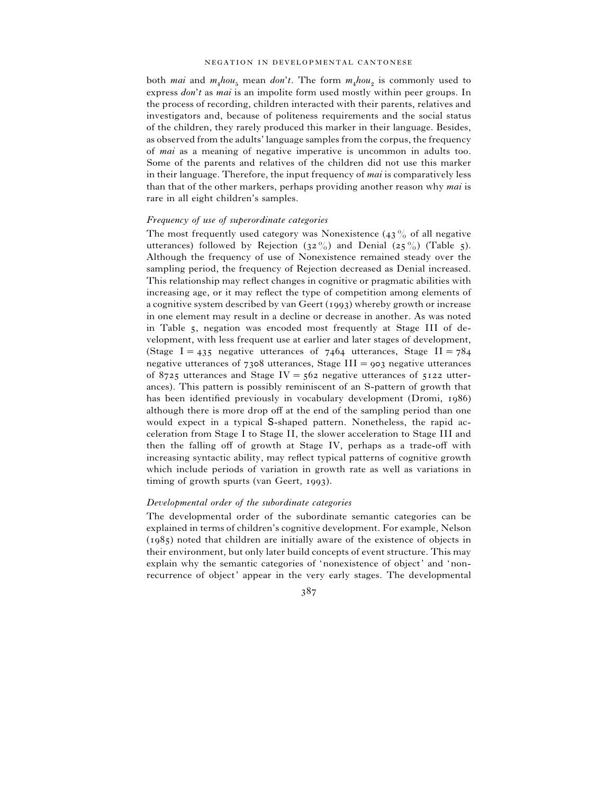both *mai* and  $m_4 h \circ u_5$  mean *don't*. The form  $m_4 h \circ u_2$  is commonly used to express *don*'*t* as *mai* is an impolite form used mostly within peer groups. In the process of recording, children interacted with their parents, relatives and investigators and, because of politeness requirements and the social status of the children, they rarely produced this marker in their language. Besides, as observed from the adults' language samples from the corpus, the frequency of *mai* as a meaning of negative imperative is uncommon in adults too. Some of the parents and relatives of the children did not use this marker in their language. Therefore, the input frequency of *mai* is comparatively less than that of the other markers, perhaps providing another reason why *mai* is rare in all eight children's samples.

### *Frequency of use of superordinate categories*

The most frequently used category was Nonexistence  $(43\%$  of all negative utterances) followed by Rejection  $(32\%)$  and Denial  $(25\%)$  (Table 5). Although the frequency of use of Nonexistence remained steady over the sampling period, the frequency of Rejection decreased as Denial increased. This relationship may reflect changes in cognitive or pragmatic abilities with increasing age, or it may reflect the type of competition among elements of a cognitive system described by van Geert  $(1993)$  whereby growth or increase in one element may result in a decline or decrease in another. As was noted in Table 5, negation was encoded most frequently at Stage III of development, with less frequent use at earlier and later stages of development, (Stage I = 435 negative utterances of  $7464$  utterances, Stage II =  $784$ negative utterances of  $7308$  utterances, Stage III =  $903$  negative utterances of 8725 utterances and Stage IV =  $562$  negative utterances of  $5122$  utterances). This pattern is possibly reminiscent of an S-pattern of growth that has been identified previously in vocabulary development (Dromi, 1986) although there is more drop off at the end of the sampling period than one would expect in a typical S-shaped pattern. Nonetheless, the rapid acceleration from Stage I to Stage II, the slower acceleration to Stage III and then the falling off of growth at Stage IV, perhaps as a trade-off with increasing syntactic ability, may reflect typical patterns of cognitive growth which include periods of variation in growth rate as well as variations in timing of growth spurts (van Geert,  $1993$ ).

## *Developmental order of the subordinate categories*

The developmental order of the subordinate semantic categories can be explained in terms of children's cognitive development. For example, Nelson  $(1985)$  noted that children are initially aware of the existence of objects in their environment, but only later build concepts of event structure. This may explain why the semantic categories of 'nonexistence of object' and 'nonrecurrence of object' appear in the very early stages. The developmental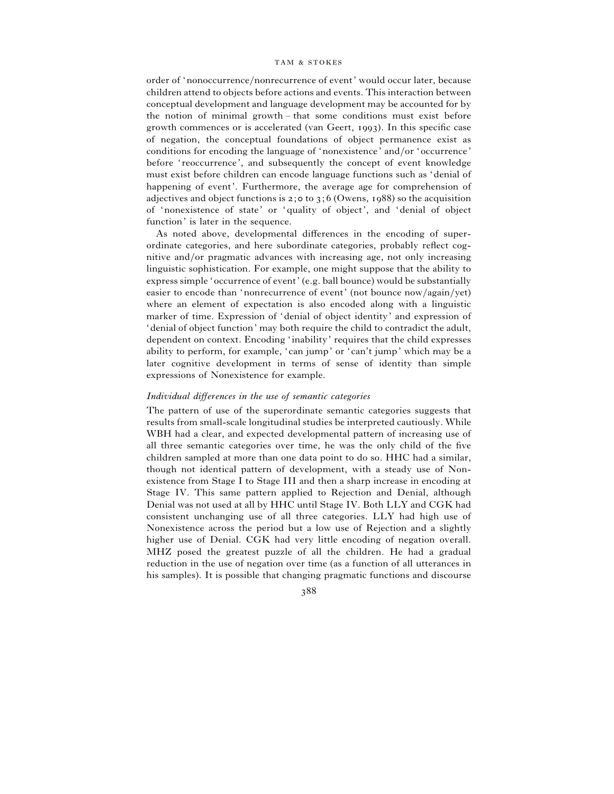order of 'nonoccurrence}nonrecurrence of event' would occur later, because children attend to objects before actions and events. This interaction between conceptual development and language development may be accounted for by the notion of minimal growth – that some conditions must exist before growth commences or is accelerated (van Geert, 1993). In this specific case of negation, the conceptual foundations of object permanence exist as conditions for encoding the language of 'nonexistence' and/or 'occurrence' before 'reoccurrence', and subsequently the concept of event knowledge must exist before children can encode language functions such as 'denial of happening of event'. Furthermore, the average age for comprehension of adjectives and object functions is  $2; \circ \circ$  to  $3; 6$  (Owens, 1988) so the acquisition of 'nonexistence of state' or 'quality of object', and 'denial of object function' is later in the sequence.

As noted above, developmental differences in the encoding of superordinate categories, and here subordinate categories, probably reflect cognitive and/or pragmatic advances with increasing age, not only increasing linguistic sophistication. For example, one might suppose that the ability to express simple 'occurrence of event' (e.g. ball bounce) would be substantially easier to encode than 'nonrecurrence of event' (not bounce now/again/yet) where an element of expectation is also encoded along with a linguistic marker of time. Expression of 'denial of object identity' and expression of 'denial of object function' may both require the child to contradict the adult, dependent on context. Encoding 'inability' requires that the child expresses ability to perform, for example, 'can jump' or 'can't jump' which may be a later cognitive development in terms of sense of identity than simple expressions of Nonexistence for example.

## *Individual differences in the use of semantic categories*

The pattern of use of the superordinate semantic categories suggests that results from small-scale longitudinal studies be interpreted cautiously. While WBH had a clear, and expected developmental pattern of increasing use of all three semantic categories over time, he was the only child of the five children sampled at more than one data point to do so. HHC had a similar, though not identical pattern of development, with a steady use of Nonexistence from Stage I to Stage III and then a sharp increase in encoding at Stage IV. This same pattern applied to Rejection and Denial, although Denial was not used at all by HHC until Stage IV. Both LLY and CGK had consistent unchanging use of all three categories. LLY had high use of Nonexistence across the period but a low use of Rejection and a slightly higher use of Denial. CGK had very little encoding of negation overall. MHZ posed the greatest puzzle of all the children. He had a gradual reduction in the use of negation over time (as a function of all utterances in his samples). It is possible that changing pragmatic functions and discourse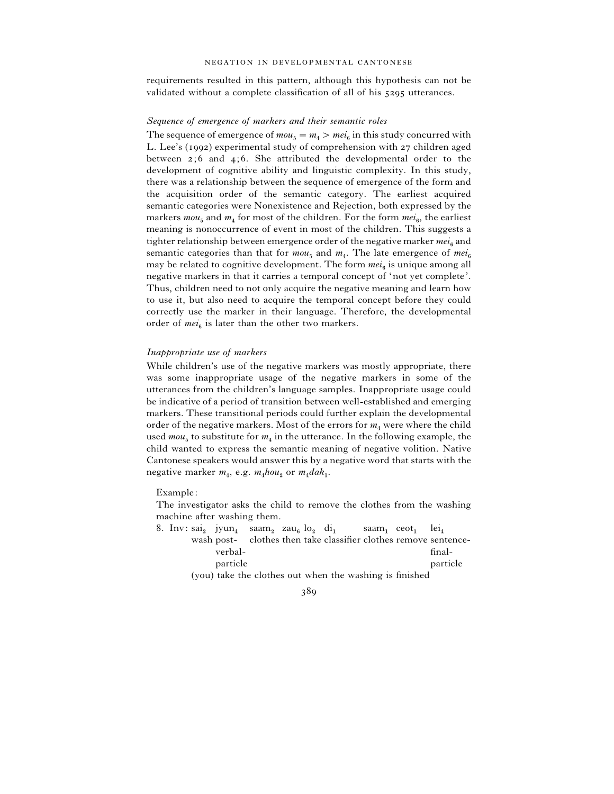requirements resulted in this pattern, although this hypothesis can not be validated without a complete classification of all of his 5295 utterances.

### *Sequence of emergence of markers and their semantic roles*

The sequence of emergence of  $mou_5 = m_4 > mei_6$  in this study concurred with L. Lee's (1992) experimental study of comprehension with 27 children aged between  $2; 6$  and  $4; 6$ . She attributed the developmental order to the development of cognitive ability and linguistic complexity. In this study, there was a relationship between the sequence of emergence of the form and the acquisition order of the semantic category. The earliest acquired semantic categories were Nonexistence and Rejection, both expressed by the markers  $mou_5$  and  $m_4$  for most of the children. For the form  $mei_6$ , the earliest meaning is nonoccurrence of event in most of the children. This suggests a tighter relationship between emergence order of the negative marker  $mei_6$  and semantic categories than that for  $mou_{5}$  and  $m_{4}$ . The late emergence of  $mei_{6}$ may be related to cognitive development. The form  $mei_6$  is unique among all negative markers in that it carries a temporal concept of 'not yet complete'. Thus, children need to not only acquire the negative meaning and learn how to use it, but also need to acquire the temporal concept before they could correctly use the marker in their language. Therefore, the developmental order of  $mei_6$  is later than the other two markers.

## *Inappropriate use of markers*

While children's use of the negative markers was mostly appropriate, there was some inappropriate usage of the negative markers in some of the utterances from the children's language samples. Inappropriate usage could be indicative of a period of transition between well-established and emerging markers. These transitional periods could further explain the developmental order of the negative markers. Most of the errors for  $m<sub>4</sub>$  were where the child used  $mou<sub>5</sub>$  to substitute for  $m<sub>4</sub>$  in the utterance. In the following example, the child wanted to express the semantic meaning of negative volition. Native Cantonese speakers would answer this by a negative word that starts with the negative marker  $m_4$ , e.g.  $m_4 h \circ u_2$  or  $m_4 d a k_1$ .

Example:

The investigator asks the child to remove the clothes from the washing machine after washing them.

|  |          |  | 8. Inv: sai, jyun <sub>4</sub> saam, zau <sub>s</sub> lo <sub>2</sub> di <sub>1</sub> saam, ceot <sub>1</sub> lei <sub>4</sub> |  |                                                                  |
|--|----------|--|--------------------------------------------------------------------------------------------------------------------------------|--|------------------------------------------------------------------|
|  |          |  |                                                                                                                                |  | wash post- clothes then take classifier clothes remove sentence- |
|  | verbal-  |  |                                                                                                                                |  | final-                                                           |
|  | particle |  |                                                                                                                                |  | particle                                                         |
|  |          |  | (you) take the clothes out when the washing is finished                                                                        |  |                                                                  |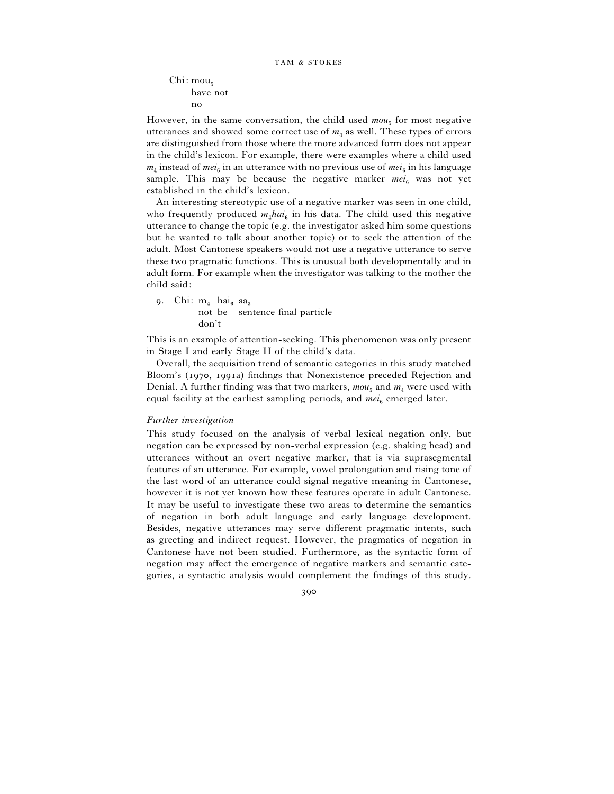```
Chi: mou<sub>5</sub> have not
no
```
However, in the same conversation, the child used  $mou<sub>5</sub>$  for most negative utterances and showed some correct use of  $m<sub>4</sub>$  as well. These types of errors are distinguished from those where the more advanced form does not appear in the child's lexicon. For example, there were examples where a child used  $m_4$  instead of  $mei_6$  in an utterance with no previous use of  $mei_6$  in his language sample. This may be because the negative marker  $mei_6$  was not yet established in the child's lexicon.

An interesting stereotypic use of a negative marker was seen in one child, who frequently produced  $m_4 h a i_6$  in his data. The child used this negative utterance to change the topic (e.g. the investigator asked him some questions but he wanted to talk about another topic) or to seek the attention of the adult. Most Cantonese speakers would not use a negative utterance to serve these two pragmatic functions. This is unusual both developmentally and in adult form. For example when the investigator was talking to the mother the child said:

9. Chi:  $m_4$  hai<sub>6</sub> aa<sub>3</sub> not be sentence final particle don't

This is an example of attention-seeking. This phenomenon was only present in Stage I and early Stage II of the child's data.

Overall, the acquisition trend of semantic categories in this study matched Bloom's (1970, 1991a) findings that Nonexistence preceded Rejection and Denial. A further finding was that two markers,  $mou_5$  and  $m_4$  were used with equal facility at the earliest sampling periods, and  $mei_6$  emerged later.

## *Further investigation*

This study focused on the analysis of verbal lexical negation only, but negation can be expressed by non-verbal expression (e.g. shaking head) and utterances without an overt negative marker, that is via suprasegmental features of an utterance. For example, vowel prolongation and rising tone of the last word of an utterance could signal negative meaning in Cantonese, however it is not yet known how these features operate in adult Cantonese. It may be useful to investigate these two areas to determine the semantics of negation in both adult language and early language development. Besides, negative utterances may serve different pragmatic intents, such as greeting and indirect request. However, the pragmatics of negation in Cantonese have not been studied. Furthermore, as the syntactic form of negation may affect the emergence of negative markers and semantic categories, a syntactic analysis would complement the findings of this study.